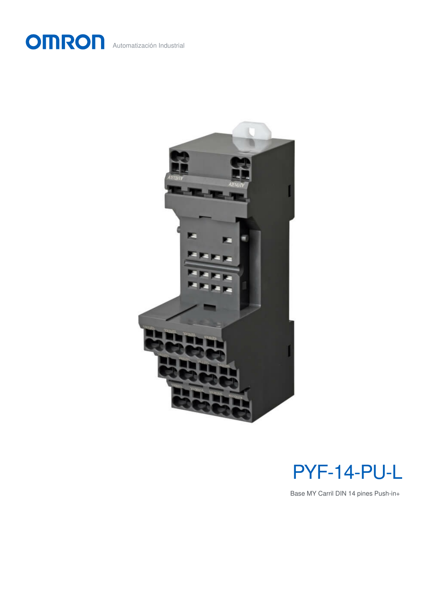





Base MY Carril DIN 14 pines Push-in+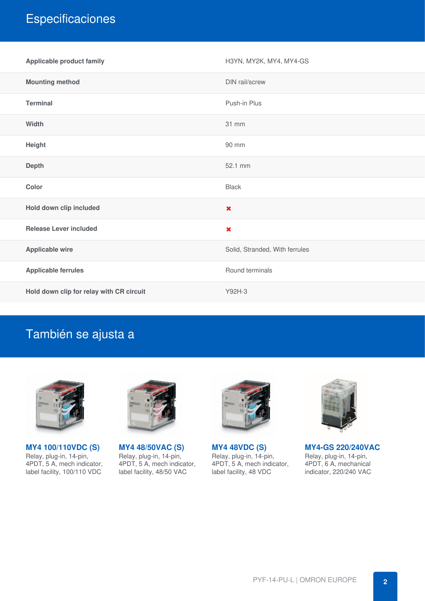# **Especificaciones**

| <b>Applicable product family</b>         | H3YN, MY2K, MY4, MY4-GS        |
|------------------------------------------|--------------------------------|
| <b>Mounting method</b>                   | DIN rail/screw                 |
| <b>Terminal</b>                          | Push-in Plus                   |
| Width                                    | 31 mm                          |
| Height                                   | 90 mm                          |
| <b>Depth</b>                             | 52.1 mm                        |
| Color                                    | <b>Black</b>                   |
| Hold down clip included                  | $\boldsymbol{\mathsf{x}}$      |
| <b>Release Lever included</b>            | $\boldsymbol{\mathsf{x}}$      |
| <b>Applicable wire</b>                   | Solid, Stranded, With ferrules |
| <b>Applicable ferrules</b>               | Round terminals                |
| Hold down clip for relay with CR circuit | Y92H-3                         |

## También se ajusta a



**MY4 [100/110VDC](https://industrial.omron.es/es/products/MY4-100-110VDC-S) (S)** Relay, plug-in, 14-pin, 4PDT, 5 A, mech indicator, label facility, 100/110 VDC



**MY4 [48/50VAC](https://industrial.omron.es/es/products/MY4-48-50VAC-S) (S)** Relay, plug-in, 14-pin, 4PDT, 5 A, mech indicator, label facility, 48/50 VAC



**MY4 [48VDC](https://industrial.omron.es/es/products/MY4-48VDC-S) (S)** Relay, plug-in, 14-pin, 4PDT, 5 A, mech indicator, label facility, 48 VDC



**MY4-GS [220/240VAC](https://industrial.omron.es/es/products/MY4-GS-220-240VAC)** Relay, plug-in, 14-pin,

4PDT, 6 A, mechanical indicator, 220/240 VAC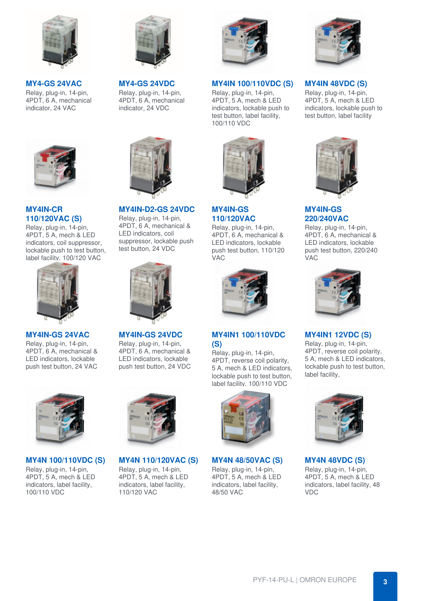

**[MY4-GS](https://industrial.omron.es/es/products/MY4-GS-24VAC) 24VAC** Relay, plug-in, 14-pin, 4PDT, 6 A, mechanical indicator, 24 VAC



**MY4IN-CR [110/120VAC](https://industrial.omron.es/es/products/MY4IN-CR-110-120VAC-S) (S)**

Relay, plug-in, 14-pin, 4PDT, 5 A, mech & LED indicators, coil suppressor, lockable push to test button, label facility, 100/120 VAC



**[MY4IN-GS](https://industrial.omron.es/es/products/MY4IN-GS-24VAC) 24VAC**

Relay, plug-in, 14-pin, 4PDT, 6 A, mechanical & LED indicators, lockable push test button, 24 VAC



**[MY4-GS](https://industrial.omron.es/es/products/MY4-GS-24VDC) 24VDC** Relay, plug-in, 14-pin, 4PDT, 6 A, mechanical indicator, 24 VDC



**[MY4IN-D2-GS](https://industrial.omron.es/es/products/MY4IN-D2-GS-24VDC) 24VDC**

Relay, plug-in, 14-pin, 4PDT, 6 A, mechanical & LED indicators, coil suppressor, lockable push test button, 24 VDC



**[MY4IN-GS](https://industrial.omron.es/es/products/MY4IN-GS-24VDC) 24VDC** Relay, plug-in, 14-pin, 4PDT, 6 A, mechanical & LED indicators, lockable push test button, 24 VDC



#### **MY4IN [100/110VDC](https://industrial.omron.es/es/products/MY4IN-100-110VDC-S) (S)**

Relay, plug-in, 14-pin, 4PDT, 5 A, mech & LED indicators, lockable push to test button, label facility, 100/110 VDC



**MY4IN-GS [110/120VAC](https://industrial.omron.es/es/products/MY4IN-GS-110-120VAC)**

Relay, plug-in, 14-pin, 4PDT, 6 A, mechanical & LED indicators, lockable push test button, 110/120 VAC



#### **MY4IN1 [100/110VDC](https://industrial.omron.es/es/products/MY4IN1-100-110VDC-S) (S)**

Relay, plug-in, 14-pin, 4PDT, reverse coil polarity, 5 A, mech & LED indicators, lockable push to test button, label facility, 100/110 VDC



**MY4N [100/110VDC](https://industrial.omron.es/es/products/MY4N-100-110VDC-S) (S)** Relay, plug-in, 14-pin, 4PDT, 5 A, mech & LED indicators, label facility, 100/110 VDC



**MY4N [110/120VAC](https://industrial.omron.es/es/products/MY4N-110-120VAC-S) (S)** Relay, plug-in, 14-pin,

4PDT, 5 A, mech & LED indicators, label facility, 110/120 VAC



**MY4N [48/50VAC](https://industrial.omron.es/es/products/MY4N-48-50VAC-S) (S)** Relay, plug-in, 14-pin, 4PDT, 5 A, mech & LED indicators, label facility, 48/50 VAC



#### **MY4IN [48VDC](https://industrial.omron.es/es/products/MY4IN-48VDC-S) (S)**

Relay, plug-in, 14-pin, 4PDT, 5 A, mech & LED indicators, lockable push to test button, label facility



### **MY4IN-GS [220/240VAC](https://industrial.omron.es/es/products/MY4IN-GS-220-240VAC)**

Relay, plug-in, 14-pin, 4PDT, 6 A, mechanical & LED indicators, lockable push test button, 220/240 VAC



#### **[MY4IN1](https://industrial.omron.es/es/products/MY4IN1-12VDC-S) 12VDC (S)**

Relay, plug-in, 14-pin, 4PDT, reverse coil polarity, 5 A, mech & LED indicators, lockable push to test button, label facility,



**MY4N [48VDC](https://industrial.omron.es/es/products/MY4N-48VDC-S) (S)** Relay, plug-in, 14-pin, 4PDT, 5 A, mech & LED indicators, label facility, 48 VDC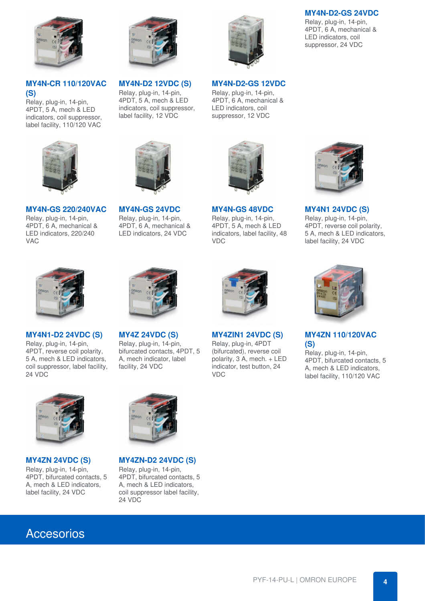

**MY4N-CR [110/120VAC](https://industrial.omron.es/es/products/MY4N-CR-110-120VAC-S) (S)**

Relay, plug-in, 14-pin, 4PDT, 5 A, mech & LED indicators, coil suppressor, label facility, 110/120 VAC



**MY4N-GS [220/240VAC](https://industrial.omron.es/es/products/MY4N-GS-220-240VAC)**

Relay, plug-in, 14-pin, 4PDT, 6 A, mechanical & LED indicators, 220/240 VAC



**[MY4N-D2](https://industrial.omron.es/es/products/MY4N-D2-12VDC-S) 12VDC (S)** Relay, plug-in, 14-pin, 4PDT, 5 A, mech & LED indicators, coil suppressor, label facility, 12 VDC



**[MY4N-GS](https://industrial.omron.es/es/products/MY4N-GS-24VDC) 24VDC** Relay, plug-in, 14-pin, 4PDT, 6 A, mechanical & LED indicators, 24 VDC



#### **[MY4N-D2-GS](https://industrial.omron.es/es/products/MY4N-D2-GS-12VDC) 12VDC**

Relay, plug-in, 14-pin, 4PDT, 6 A, mechanical & LED indicators, coil suppressor, 12 VDC



**[MY4N-GS](https://industrial.omron.es/es/products/MY4N-GS-48VDC) 48VDC** Relay, plug-in, 14-pin, 4PDT, 5 A, mech & LED indicators, label facility, 48 VDC



**[MY4N-D2-GS](https://industrial.omron.es/es/products/MY4N-D2-GS-24VDC) 24VDC** Relay, plug-in, 14-pin, 4PDT, 6 A, mechanical & LED indicators, coil suppressor, 24 VDC

**[MY4N1](https://industrial.omron.es/es/products/MY4N1-24VDC-S) 24VDC (S)** Relay, plug-in, 14-pin, 4PDT, reverse coil polarity, 5 A, mech & LED indicators, label facility, 24 VDC



**[MY4N1-D2](https://industrial.omron.es/es/products/MY4N1-D2-24VDC-S) 24VDC (S)**

Relay, plug-in, 14-pin, 4PDT, reverse coil polarity, 5 A, mech & LED indicators, coil suppressor, label facility, 24 VDC



**MY4Z [24VDC](https://industrial.omron.es/es/products/MY4Z-24VDC-S) (S)** Relay, plug-in, 14-pin, bifurcated contacts, 4PDT, 5 A, mech indicator, label facility, 24 VDC



**[MY4ZIN1](https://industrial.omron.es/es/products/MY4ZIN1-24VDC-S) 24VDC (S)**

Relay, plug-in, 4PDT (bifurcated), reverse coil polarity, 3 A, mech. + LED indicator, test button, 24 VDC



**MY4ZN [110/120VAC](https://industrial.omron.es/es/products/MY4ZN-110-120VAC-S) (S)**

Relay, plug-in, 14-pin, 4PDT, bifurcated contacts, 5 A, mech & LED indicators, label facility, 110/120 VAC



**[MY4ZN](https://industrial.omron.es/es/products/MY4ZN-24VDC-S) 24VDC (S)** Relay, plug-in, 14-pin, 4PDT, bifurcated contacts, 5 A, mech & LED indicators, label facility, 24 VDC



**[MY4ZN-D2](https://industrial.omron.es/es/products/MY4ZN-D2-24VDC-S) 24VDC (S)**

Relay, plug-in, 14-pin, 4PDT, bifurcated contacts, 5 A, mech & LED indicators, coil suppressor label facility, 24 VDC

### Accesorios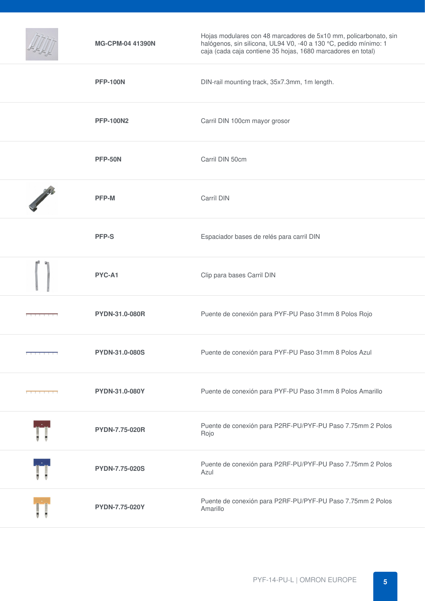|                                                               | <b>MG-CPM-04 41390N</b> | Hojas modulares con 48 marcadores de 5x10 mm, policarbonato, sin<br>halógenos, sin silicona, UL94 V0, -40 a 130 °C, pedido mínimo: 1<br>caja (cada caja contiene 35 hojas, 1680 marcadores en total) |
|---------------------------------------------------------------|-------------------------|------------------------------------------------------------------------------------------------------------------------------------------------------------------------------------------------------|
|                                                               | <b>PFP-100N</b>         | DIN-rail mounting track, 35x7.3mm, 1m length.                                                                                                                                                        |
|                                                               | <b>PFP-100N2</b>        | Carril DIN 100cm mayor grosor                                                                                                                                                                        |
|                                                               | <b>PFP-50N</b>          | Carril DIN 50cm                                                                                                                                                                                      |
|                                                               | PFP-M                   | Carríl DIN                                                                                                                                                                                           |
|                                                               | <b>PFP-S</b>            | Espaciador bases de relés para carril DIN                                                                                                                                                            |
|                                                               | PYC-A1                  | Clip para bases Carril DIN                                                                                                                                                                           |
|                                                               | PYDN-31.0-080R          | Puente de conexión para PYF-PU Paso 31mm 8 Polos Rojo                                                                                                                                                |
|                                                               | <b>PYDN-31.0-080S</b>   | Puente de conexión para PYF-PU Paso 31mm 8 Polos Azul                                                                                                                                                |
| <b><i>Contract and Contract and Contract and Contract</i></b> | PYDN-31.0-080Y          | Puente de conexión para PYF-PU Paso 31mm 8 Polos Amarillo                                                                                                                                            |
|                                                               | PYDN-7.75-020R          | Puente de conexión para P2RF-PU/PYF-PU Paso 7.75mm 2 Polos<br>Rojo                                                                                                                                   |
|                                                               | <b>PYDN-7.75-020S</b>   | Puente de conexión para P2RF-PU/PYF-PU Paso 7.75mm 2 Polos<br>Azul                                                                                                                                   |
|                                                               | PYDN-7.75-020Y          | Puente de conexión para P2RF-PU/PYF-PU Paso 7.75mm 2 Polos<br>Amarillo                                                                                                                               |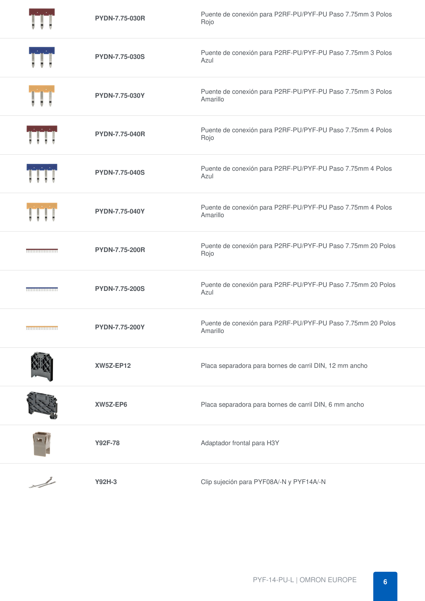|                            | <b>PYDN-7.75-030R</b> | Puente de conexión para P2RF-PU/PYF-PU Paso 7.75mm 3 Polos<br>Rojo      |
|----------------------------|-----------------------|-------------------------------------------------------------------------|
|                            | <b>PYDN-7.75-030S</b> | Puente de conexión para P2RF-PU/PYF-PU Paso 7.75mm 3 Polos<br>Azul      |
|                            | PYDN-7.75-030Y        | Puente de conexión para P2RF-PU/PYF-PU Paso 7.75mm 3 Polos<br>Amarillo  |
|                            | <b>PYDN-7.75-040R</b> | Puente de conexión para P2RF-PU/PYF-PU Paso 7.75mm 4 Polos<br>Rojo      |
|                            | <b>PYDN-7.75-040S</b> | Puente de conexión para P2RF-PU/PYF-PU Paso 7.75mm 4 Polos<br>Azul      |
|                            | PYDN-7.75-040Y        | Puente de conexión para P2RF-PU/PYF-PU Paso 7.75mm 4 Polos<br>Amarillo  |
| <u> TETERITETTIINE</u>     | <b>PYDN-7.75-200R</b> | Puente de conexión para P2RF-PU/PYF-PU Paso 7.75mm 20 Polos<br>Rojo     |
|                            | <b>PYDN-7.75-200S</b> | Puente de conexión para P2RF-PU/PYF-PU Paso 7.75mm 20 Polos<br>Azul     |
| <b>THEFFEREEFT IN THE </b> | PYDN-7.75-200Y        | Puente de conexión para P2RF-PU/PYF-PU Paso 7.75mm 20 Polos<br>Amarillo |
|                            | <b>XW5Z-EP12</b>      | Placa separadora para bornes de carril DIN, 12 mm ancho                 |
|                            | XW5Z-EP6              | Placa separadora para bornes de carril DIN, 6 mm ancho                  |
|                            | Y92F-78               | Adaptador frontal para H3Y                                              |
| $\overline{\phantom{a}}$   | Y92H-3                | Clip sujeción para PYF08A/-N y PYF14A/-N                                |